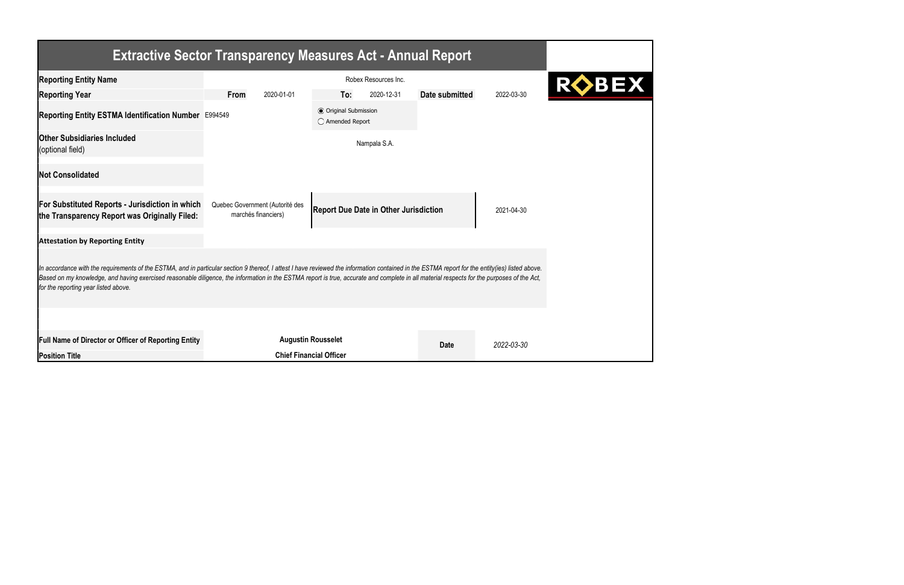|                                                                                                                                                                                                                                                                                                                                                                                                                                       | <b>Extractive Sector Transparency Measures Act - Annual Report</b>                                                   |                                                           |            |                |            |  |  |
|---------------------------------------------------------------------------------------------------------------------------------------------------------------------------------------------------------------------------------------------------------------------------------------------------------------------------------------------------------------------------------------------------------------------------------------|----------------------------------------------------------------------------------------------------------------------|-----------------------------------------------------------|------------|----------------|------------|--|--|
| <b>Reporting Entity Name</b>                                                                                                                                                                                                                                                                                                                                                                                                          | Robex Resources Inc.                                                                                                 |                                                           |            |                |            |  |  |
| <b>Reporting Year</b>                                                                                                                                                                                                                                                                                                                                                                                                                 | <b>From</b><br>2020-01-01                                                                                            | To:                                                       | 2020-12-31 | Date submitted | 2022-03-30 |  |  |
| Reporting Entity ESTMA Identification Number E994549                                                                                                                                                                                                                                                                                                                                                                                  |                                                                                                                      | <b>◎</b> Original Submission<br>$\bigcirc$ Amended Report |            |                |            |  |  |
| <b>Other Subsidiaries Included</b><br>(optional field)                                                                                                                                                                                                                                                                                                                                                                                |                                                                                                                      | Nampala S.A.                                              |            |                |            |  |  |
| <b>Not Consolidated</b>                                                                                                                                                                                                                                                                                                                                                                                                               |                                                                                                                      |                                                           |            |                |            |  |  |
| <b>For Substituted Reports - Jurisdiction in which</b><br>the Transparency Report was Originally Filed:                                                                                                                                                                                                                                                                                                                               | Quebec Government (Autorité des<br><b>Report Due Date in Other Jurisdiction</b><br>2021-04-30<br>marchés financiers) |                                                           |            |                |            |  |  |
| <b>Attestation by Reporting Entity</b>                                                                                                                                                                                                                                                                                                                                                                                                |                                                                                                                      |                                                           |            |                |            |  |  |
| In accordance with the requirements of the ESTMA, and in particular section 9 thereof, I attest I have reviewed the information contained in the ESTMA report for the entity(ies) listed above.<br>Based on my knowledge, and having exercised reasonable diligence, the information in the ESTMA report is true, accurate and complete in all material respects for the purposes of the Act,<br>for the reporting year listed above. |                                                                                                                      |                                                           |            |                |            |  |  |
|                                                                                                                                                                                                                                                                                                                                                                                                                                       |                                                                                                                      |                                                           |            |                |            |  |  |
| <b>Full Name of Director or Officer of Reporting Entity</b>                                                                                                                                                                                                                                                                                                                                                                           | <b>Augustin Rousselet</b>                                                                                            |                                                           |            | <b>Date</b>    | 2022-03-30 |  |  |
| <b>Position Title</b>                                                                                                                                                                                                                                                                                                                                                                                                                 |                                                                                                                      | <b>Chief Financial Officer</b>                            |            |                |            |  |  |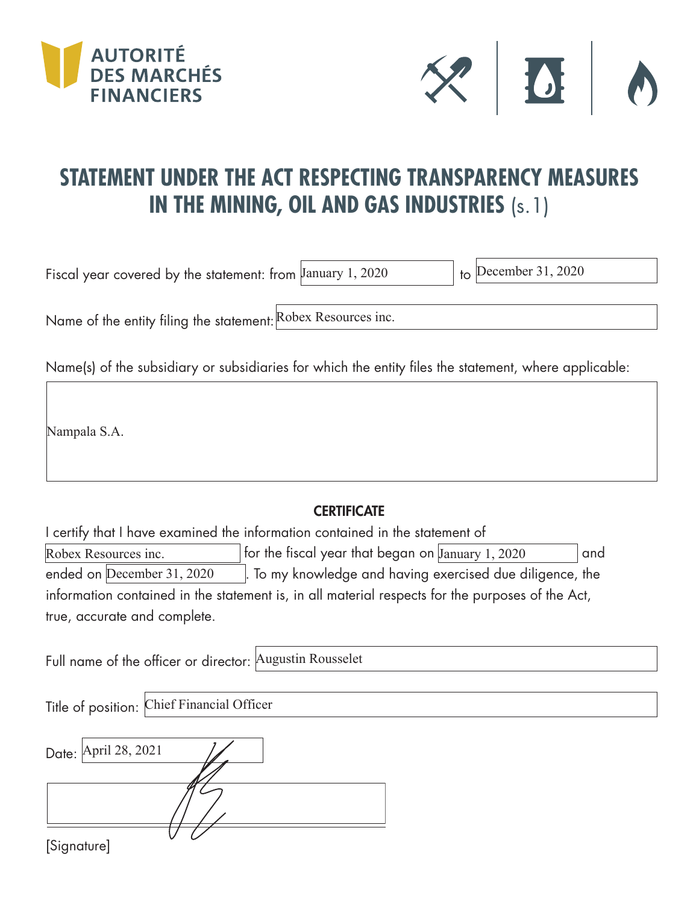



## **STATEMENT UNDER THE ACT RESPECTING TRANSPARENCY MEASURES IN THE MINING, OIL AND GAS INDUSTRIES** (s.1)

Fiscal year covered by the statement: from  $\lambda$  January 1, 2020

 $\overline{b}$  December 31, 2020

Name of the entity filing the statement: Robex Resources inc.

Name(s) of the subsidiary or subsidiaries for which the entity files the statement, where applicable:

Nampala S.A.

## **CERTIFICATE**

I certify that I have examined the information contained in the statement of Robex Resources inc.  $\qquad \qquad |$  for the fiscal year that began on January 1, 2020  $\qquad \qquad |$  and . To my knowledge and having exercised due diligence, the information contained in the statement is, in all material respects for the purposes of the Act, true, accurate and complete. ended on December 31, 2020

Full name of the officer or director: Augustin Rousselet

Title of position: Chief Financial Officer

| Date: April 28, 2021 |  |
|----------------------|--|
|                      |  |
|                      |  |
| [Signature]          |  |